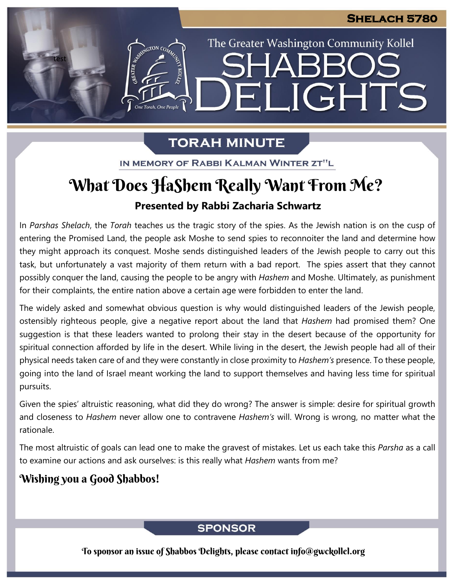The Greater Washington Community Kollel

ELIGHTS

# **TORAH MINUTE**

IN MEMORY OF RABBI KALMAN WINTER ZT"L

# **Presented by Rabbi Zacharia Schwartz** What Does HaShem Really Want From Me?

In *Parshas Shelach*, the *Torah* teaches us the tragic story of the spies. As the Jewish nation is on the cusp of entering the Promised Land, the people ask Moshe to send spies to reconnoiter the land and determine how they might approach its conquest. Moshe sends distinguished leaders of the Jewish people to carry out this task, but unfortunately a vast majority of them return with a bad report. The spies assert that they cannot possibly conquer the land, causing the people to be angry with *Hashem* and Moshe. Ultimately, as punishment for their complaints, the entire nation above a certain age were forbidden to enter the land. **From our archives**

The widely asked and somewhat obvious question is why would distinguished leaders of the Jewish people, ostensibly righteous people, give a negative report about the land that *Hashem* had promised them? One suggestion is that these leaders wanted to prolong their stay in the desert because of the opportunity for spiritual connection afforded by life in the desert. While living in the desert, the Jewish people had all of their physical needs taken care of and they were constantly in close proximity to *Hashem's* presence. To these people, going into the land of Israel meant working the land to support themselves and having less time for spiritual pursuits.

Given the spies' altruistic reasoning, what did they do wrong? The answer is simple: desire for spiritual growth and closeness to *Hashem* never allow one to contravene *Hashem's* will. Wrong is wrong, no matter what the rationale.

The most altruistic of goals can lead one to make the gravest of mistakes. Let us each take this *Parsha* as a call to examine our actions and ask ourselves: is this really what *Hashem* wants from me?

## Wishing you a Good Shabbos!

test

ASSEMBATON CO

## **SPONSOR**

To sponsor an issue of Shabbos Delights, please contact info@gwckollel.org